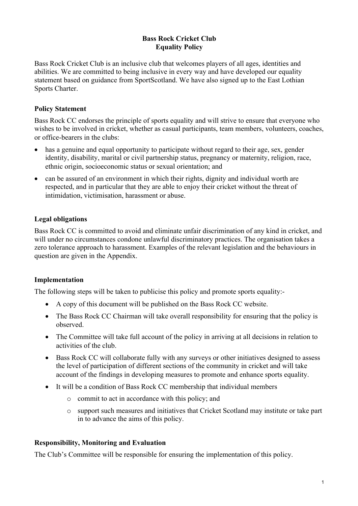## **Bass Rock Cricket Club Equality Policy**

Bass Rock Cricket Club is an inclusive club that welcomes players of all ages, identities and abilities. We are committed to being inclusive in every way and have developed our equality statement based on guidance from SportScotland. We have also signed up to the East Lothian Sports Charter.

# **Policy Statement**

Bass Rock CC endorses the principle of sports equality and will strive to ensure that everyone who wishes to be involved in cricket, whether as casual participants, team members, volunteers, coaches, or office-bearers in the clubs:

- has a genuine and equal opportunity to participate without regard to their age, sex, gender identity, disability, marital or civil partnership status, pregnancy or maternity, religion, race, ethnic origin, socioeconomic status or sexual orientation; and
- can be assured of an environment in which their rights, dignity and individual worth are respected, and in particular that they are able to enjoy their cricket without the threat of intimidation, victimisation, harassment or abuse.

## **Legal obligations**

Bass Rock CC is committed to avoid and eliminate unfair discrimination of any kind in cricket, and will under no circumstances condone unlawful discriminatory practices. The organisation takes a zero tolerance approach to harassment. Examples of the relevant legislation and the behaviours in question are given in the Appendix.

### **Implementation**

The following steps will be taken to publicise this policy and promote sports equality:-

- A copy of this document will be published on the Bass Rock CC website.
- The Bass Rock CC Chairman will take overall responsibility for ensuring that the policy is observed.
- The Committee will take full account of the policy in arriving at all decisions in relation to activities of the club.
- Bass Rock CC will collaborate fully with any surveys or other initiatives designed to assess the level of participation of different sections of the community in cricket and will take account of the findings in developing measures to promote and enhance sports equality.
- It will be a condition of Bass Rock CC membership that individual members
	- o commit to act in accordance with this policy; and
	- o support such measures and initiatives that Cricket Scotland may institute or take part in to advance the aims of this policy.

### **Responsibility, Monitoring and Evaluation**

The Club's Committee will be responsible for ensuring the implementation of this policy.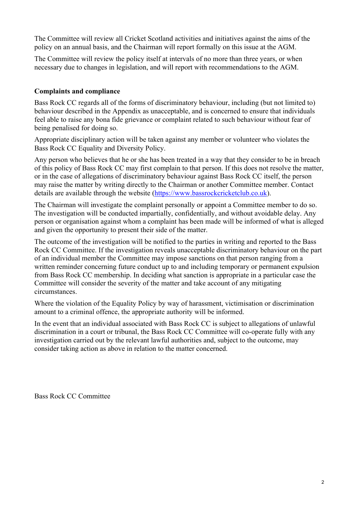The Committee will review all Cricket Scotland activities and initiatives against the aims of the policy on an annual basis, and the Chairman will report formally on this issue at the AGM.

The Committee will review the policy itself at intervals of no more than three years, or when necessary due to changes in legislation, and will report with recommendations to the AGM.

## **Complaints and compliance**

Bass Rock CC regards all of the forms of discriminatory behaviour, including (but not limited to) behaviour described in the Appendix as unacceptable, and is concerned to ensure that individuals feel able to raise any bona fide grievance or complaint related to such behaviour without fear of being penalised for doing so.

Appropriate disciplinary action will be taken against any member or volunteer who violates the Bass Rock CC Equality and Diversity Policy.

Any person who believes that he or she has been treated in a way that they consider to be in breach of this policy of Bass Rock CC may first complain to that person. If this does not resolve the matter, or in the case of allegations of discriminatory behaviour against Bass Rock CC itself, the person may raise the matter by writing directly to the Chairman or another Committee member. Contact details are available through the website (https://www.bassrockcricketclub.co.uk).

The Chairman will investigate the complaint personally or appoint a Committee member to do so. The investigation will be conducted impartially, confidentially, and without avoidable delay. Any person or organisation against whom a complaint has been made will be informed of what is alleged and given the opportunity to present their side of the matter.

The outcome of the investigation will be notified to the parties in writing and reported to the Bass Rock CC Committee. If the investigation reveals unacceptable discriminatory behaviour on the part of an individual member the Committee may impose sanctions on that person ranging from a written reminder concerning future conduct up to and including temporary or permanent expulsion from Bass Rock CC membership. In deciding what sanction is appropriate in a particular case the Committee will consider the severity of the matter and take account of any mitigating circumstances.

Where the violation of the Equality Policy by way of harassment, victimisation or discrimination amount to a criminal offence, the appropriate authority will be informed.

In the event that an individual associated with Bass Rock CC is subject to allegations of unlawful discrimination in a court or tribunal, the Bass Rock CC Committee will co-operate fully with any investigation carried out by the relevant lawful authorities and, subject to the outcome, may consider taking action as above in relation to the matter concerned.

Bass Rock CC Committee